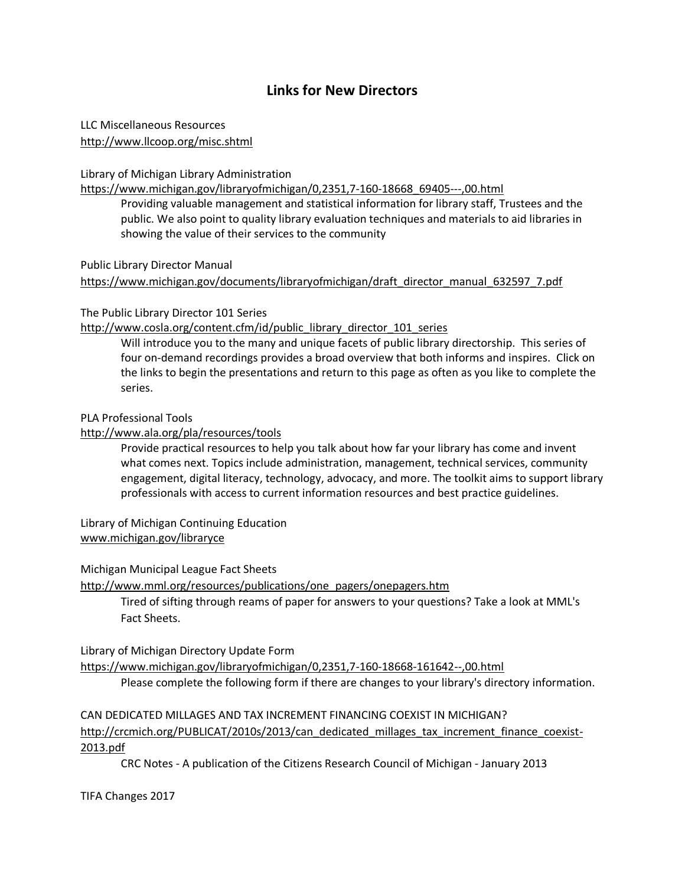# **Links for New Directors**

LLC Miscellaneous Resources <http://www.llcoop.org/misc.shtml>

Library of Michigan Library Administration

[https://www.michigan.gov/libraryofmichigan/0,2351,7-160-18668\\_69405---,00.html](https://www.michigan.gov/libraryofmichigan/0,2351,7-160-18668_69405---,00.html)

Providing valuable management and statistical information for library staff, Trustees and the public. We also point to quality library evaluation techniques and materials to aid libraries in showing the value of their services to the community

Public Library Director Manual

[https://www.michigan.gov/documents/libraryofmichigan/draft\\_director\\_manual\\_632597\\_7.pdf](https://www.michigan.gov/documents/libraryofmichigan/draft_director_manual_632597_7.pdf)

#### The Public Library Director 101 Series

[http://www.cosla.org/content.cfm/id/public\\_library\\_director\\_101\\_series](http://www.cosla.org/content.cfm/id/public_library_director_101_series)

Will introduce you to the many and unique facets of public library directorship. This series of four on-demand recordings provides a broad overview that both informs and inspires. Click on the links to begin the presentations and return to this page as often as you like to complete the series.

# PLA Professional Tools

#### <http://www.ala.org/pla/resources/tools>

Provide practical resources to help you talk about how far your library has come and invent what comes next. Topics include administration, management, technical services, community engagement, digital literacy, technology, advocacy, and more. The toolkit aims to support library professionals with access to current information resources and best practice guidelines.

Library of Michigan Continuing Education [www.michigan.gov/libraryce](http://www.michigan.gov/libraryce)

Michigan Municipal League Fact Sheets

[http://www.mml.org/resources/publications/one\\_pagers/onepagers.htm](http://www.mml.org/resources/publications/one_pagers/onepagers.htm)

Tired of sifting through reams of paper for answers to your questions? Take a look at MML's Fact Sheets.

Library of Michigan Directory Update Form

<https://www.michigan.gov/libraryofmichigan/0,2351,7-160-18668-161642--,00.html>

Please complete the following form if there are changes to your library's directory information.

CAN DEDICATED MILLAGES AND TAX INCREMENT FINANCING COEXIST IN MICHIGAN? [http://crcmich.org/PUBLICAT/2010s/2013/can\\_dedicated\\_millages\\_tax\\_increment\\_finance\\_coexist-](http://crcmich.org/PUBLICAT/2010s/2013/can_dedicated_millages_tax_increment_finance_coexist-2013.pdf)[2013.pdf](http://crcmich.org/PUBLICAT/2010s/2013/can_dedicated_millages_tax_increment_finance_coexist-2013.pdf)

CRC Notes - A publication of the Citizens Research Council of Michigan - January 2013

TIFA Changes 2017